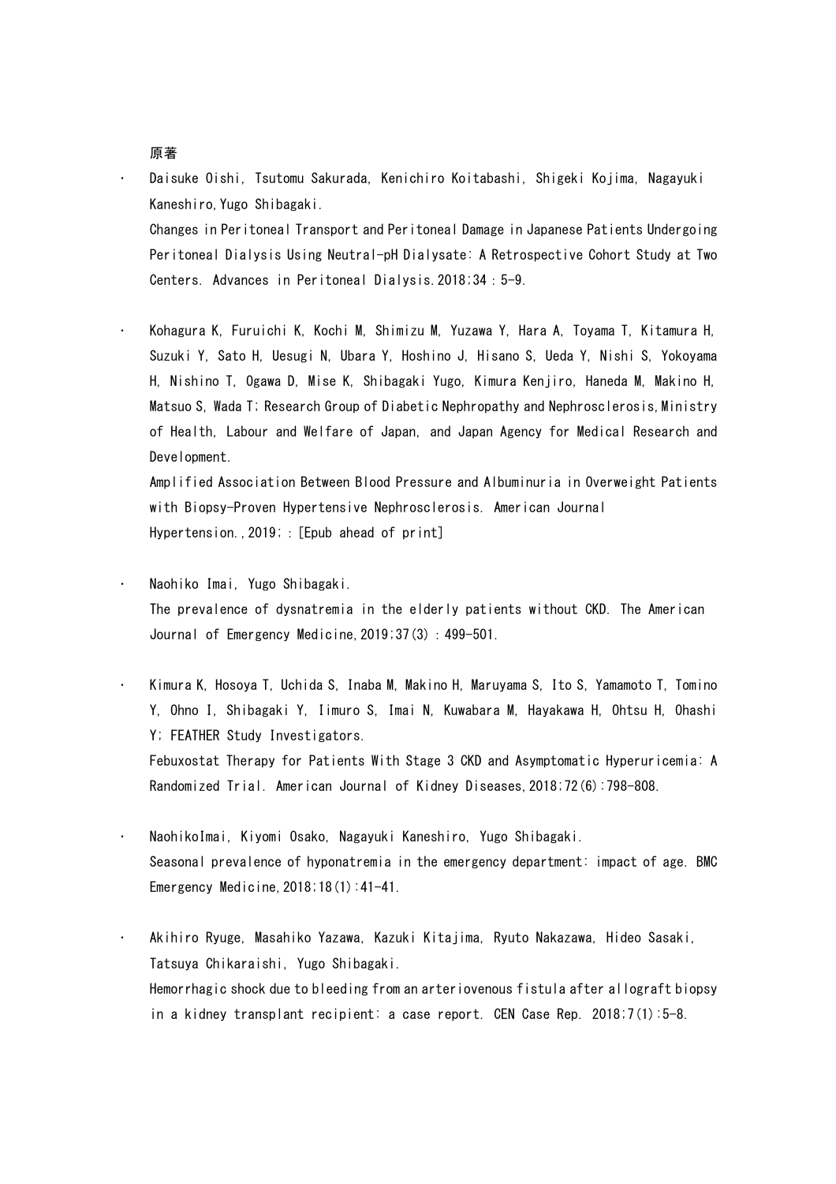- Daisuke Oishi, Tsutomu Sakurada, Kenichiro Koitabashi, Shigeki Kojima, Nagayuki Kaneshiro,Yugo Shibagaki. Changes in Peritoneal Transport and Peritoneal Damage in Japanese Patients Undergoing Peritoneal Dialysis Using Neutral-pH Dialysate: A Retrospective Cohort Study at Two Centers. Advances in Peritoneal Dialysis.2018;34:5-9.
- Kohagura K, Furuichi K, Kochi M, Shimizu M, Yuzawa Y, Hara A, Toyama T, Kitamura H, Suzuki Y, Sato H, Uesugi N, Ubara Y, Hoshino J, Hisano S, Ueda Y, Nishi S, Yokoyama H, Nishino T, Ogawa D, Mise K, Shibagaki Yugo, Kimura Kenjiro, Haneda M, Makino H, Matsuo S, Wada T; Research Group of Diabetic Nephropathy and Nephrosclerosis,Ministry of Health, Labour and Welfare of Japan, and Japan Agency for Medical Research and Development.

Amplified Association Between Blood Pressure and Albuminuria in Overweight Patients with Biopsy-Proven Hypertensive Nephrosclerosis. American Journal Hypertension., 2019; : [Epub ahead of print]

- Naohiko Imai, Yugo Shibagaki. The prevalence of dysnatremia in the elderly patients without CKD. The American Journal of Emergency Medicine,2019;37(3):499-501.
- Kimura K, Hosoya T, Uchida S, Inaba M, Makino H, Maruyama S, Ito S, Yamamoto T, Tomino Y, Ohno I, Shibagaki Y, Iimuro S, Imai N, Kuwabara M, Hayakawa H, Ohtsu H, Ohashi Y; FEATHER Study Investigators. Febuxostat Therapy for Patients With Stage 3 CKD and Asymptomatic Hyperuricemia: A Randomized Trial. American Journal of Kidney Diseases,2018;72(6):798-808.
- NaohikoImai, Kiyomi Osako, Nagayuki Kaneshiro, Yugo Shibagaki. Seasonal prevalence of hyponatremia in the emergency department: impact of age. BMC Emergency Medicine,2018;18(1):41-41.
- Akihiro Ryuge, Masahiko Yazawa, Kazuki Kitajima, Ryuto Nakazawa, Hideo Sasaki, Tatsuya Chikaraishi, Yugo Shibagaki. Hemorrhagic shock due to bleeding from an arteriovenous fistula after allograft biopsy in a kidney transplant recipient: a case report. CEN Case Rep. 2018;7(1):5-8.

## 原著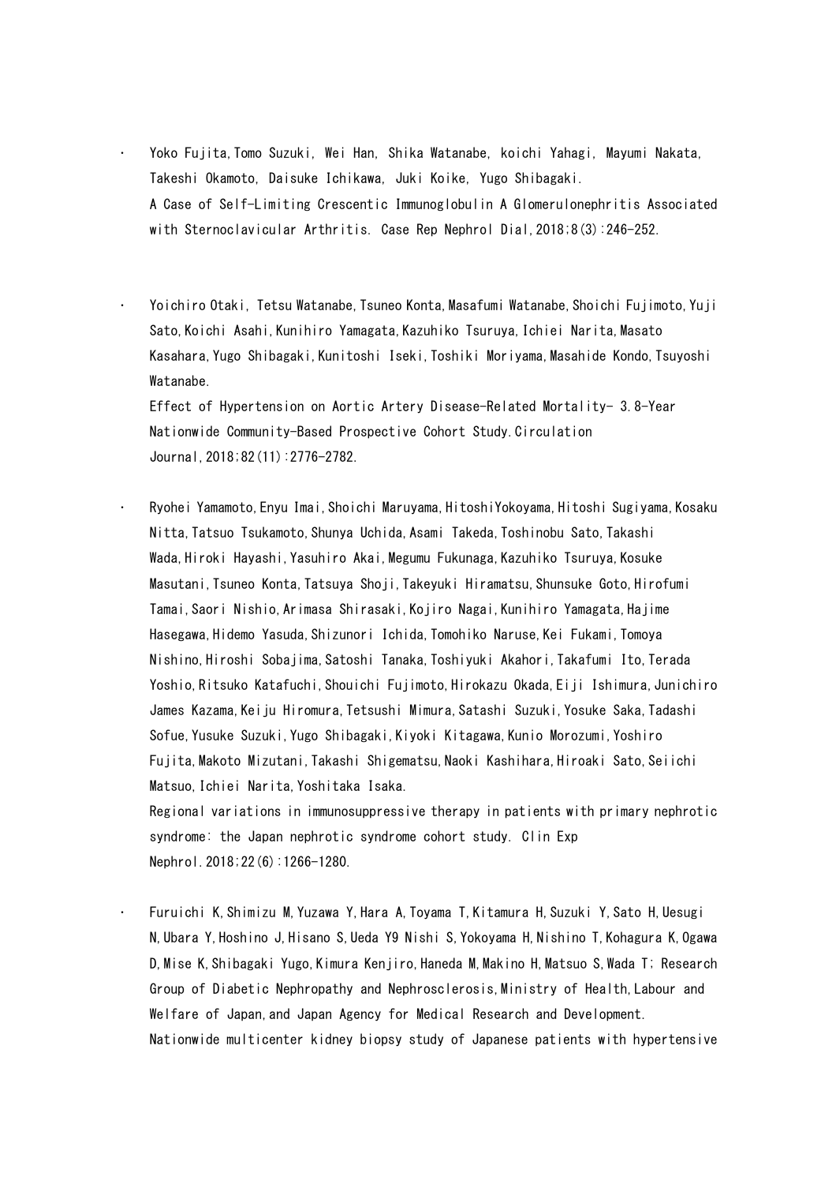- Yoko Fujita,Tomo Suzuki, Wei Han, Shika Watanabe, koichi Yahagi, Mayumi Nakata, Takeshi Okamoto, Daisuke Ichikawa, Juki Koike, Yugo Shibagaki. A Case of Self-Limiting Crescentic Immunoglobulin A Glomerulonephritis Associated with Sternoclavicular Arthritis. Case Rep Nephrol Dial,2018;8(3):246-252.
- Yoichiro Otaki, Tetsu Watanabe, Tsuneo Konta, Masafumi Watanabe, Shoichi Fujimoto, Yuji Sato, Koichi Asahi, Kunihiro Yamagata, Kazuhiko Tsuruya, Ichiei Narita, Masato Kasahara,Yugo Shibagaki,Kunitoshi Iseki,Toshiki Moriyama,Masahide Kondo,Tsuyoshi Watanabe.

Effect of Hypertension on Aortic Artery Disease-Related Mortality- 3.8-Year Nationwide Community-Based Prospective Cohort Study.Circulation Journal,2018;82(11):2776-2782.

 Ryohei Yamamoto,Enyu Imai,Shoichi Maruyama,HitoshiYokoyama,Hitoshi Sugiyama,Kosaku Nitta,Tatsuo Tsukamoto,Shunya Uchida,Asami Takeda,Toshinobu Sato,Takashi Wada, Hiroki Hayashi, Yasuhiro Akai, Megumu Fukunaga, Kazuhiko Tsuruya, Kosuke Masutani,Tsuneo Konta,Tatsuya Shoji,Takeyuki Hiramatsu,Shunsuke Goto,Hirofumi Tamai,Saori Nishio,Arimasa Shirasaki,Kojiro Nagai,Kunihiro Yamagata,Hajime Hasegawa,Hidemo Yasuda,Shizunori Ichida,Tomohiko Naruse,Kei Fukami,Tomoya Nishino,Hiroshi Sobajima,Satoshi Tanaka,Toshiyuki Akahori,Takafumi Ito,Terada Yoshio,Ritsuko Katafuchi,Shouichi Fujimoto,Hirokazu Okada,Eiji Ishimura,Junichiro James Kazama,Keiju Hiromura,Tetsushi Mimura,Satashi Suzuki,Yosuke Saka,Tadashi Sofue,Yusuke Suzuki,Yugo Shibagaki,Kiyoki Kitagawa,Kunio Morozumi,Yoshiro Fujita,Makoto Mizutani,Takashi Shigematsu,Naoki Kashihara,Hiroaki Sato,Seiichi Matsuo,Ichiei Narita,Yoshitaka Isaka.

Regional variations in immunosuppressive therapy in patients with primary nephrotic syndrome: the Japan nephrotic syndrome cohort study. Clin Exp Nephrol.2018;22(6):1266-1280.

 Furuichi K,Shimizu M,Yuzawa Y,Hara A,Toyama T,Kitamura H,Suzuki Y,Sato H,Uesugi N,Ubara Y,Hoshino J,Hisano S,Ueda Y9 Nishi S,Yokoyama H,Nishino T,Kohagura K,Ogawa D,Mise K,Shibagaki Yugo,Kimura Kenjiro,Haneda M,Makino H,Matsuo S,Wada T; Research Group of Diabetic Nephropathy and Nephrosclerosis,Ministry of Health,Labour and Welfare of Japan,and Japan Agency for Medical Research and Development. Nationwide multicenter kidney biopsy study of Japanese patients with hypertensive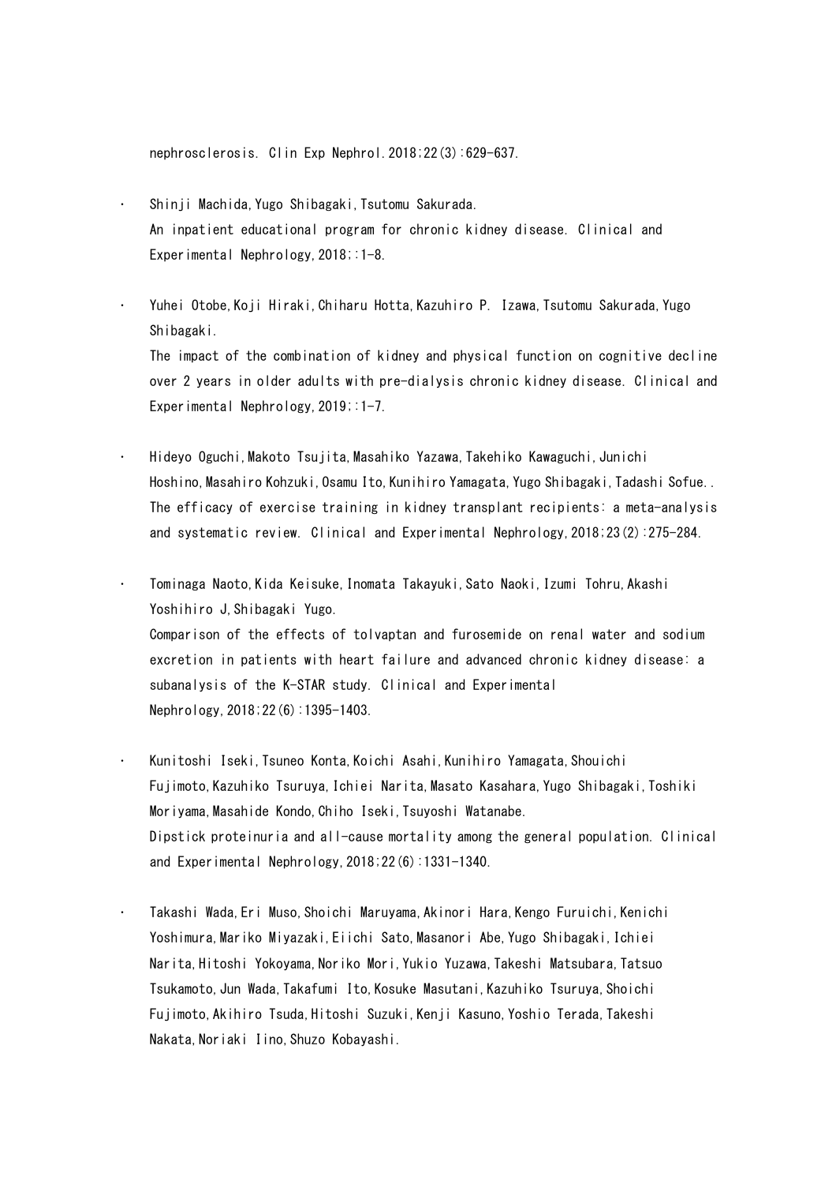nephrosclerosis. Clin Exp Nephrol.2018;22(3):629-637.

- Shinji Machida,Yugo Shibagaki,Tsutomu Sakurada. An inpatient educational program for chronic kidney disease. Clinical and Experimental Nephrology, 2018;:1-8.
- Yuhei Otobe,Koji Hiraki,Chiharu Hotta,Kazuhiro P. Izawa,Tsutomu Sakurada,Yugo Shibagaki.

The impact of the combination of kidney and physical function on cognitive decline over 2 years in older adults with pre-dialysis chronic kidney disease. Clinical and Experimental Nephrology, 2019; : 1-7.

- Hideyo Oguchi,Makoto Tsujita,Masahiko Yazawa,Takehiko Kawaguchi,Junichi Hoshino, Masahiro Kohzuki, Osamu Ito, Kunihiro Yamagata, Yugo Shibagaki, Tadashi Sofue.. The efficacy of exercise training in kidney transplant recipients: a meta-analysis and systematic review. Clinical and Experimental Nephrology,2018;23(2):275-284.
- Tominaga Naoto,Kida Keisuke,Inomata Takayuki,Sato Naoki,Izumi Tohru,Akashi Yoshihiro J, Shibagaki Yugo. Comparison of the effects of tolvaptan and furosemide on renal water and sodium excretion in patients with heart failure and advanced chronic kidney disease: a subanalysis of the K-STAR study. Clinical and Experimental Nephrology,2018;22(6):1395-1403.
- Kunitoshi Iseki, Tsuneo Konta, Koichi Asahi, Kunihiro Yamagata, Shouichi Fujimoto,Kazuhiko Tsuruya,Ichiei Narita,Masato Kasahara,Yugo Shibagaki,Toshiki Moriyama,Masahide Kondo,Chiho Iseki,Tsuyoshi Watanabe. Dipstick proteinuria and all-cause mortality among the general population. Clinical and Experimental Nephrology,2018;22(6):1331-1340.
- Takashi Wada,Eri Muso,Shoichi Maruyama,Akinori Hara,Kengo Furuichi,Kenichi Yoshimura,Mariko Miyazaki,Eiichi Sato,Masanori Abe,Yugo Shibagaki,Ichiei Narita,Hitoshi Yokoyama,Noriko Mori,Yukio Yuzawa,Takeshi Matsubara,Tatsuo Tsukamoto,Jun Wada,Takafumi Ito,Kosuke Masutani,Kazuhiko Tsuruya,Shoichi Fujimoto,Akihiro Tsuda,Hitoshi Suzuki,Kenji Kasuno,Yoshio Terada,Takeshi Nakata,Noriaki Iino,Shuzo Kobayashi.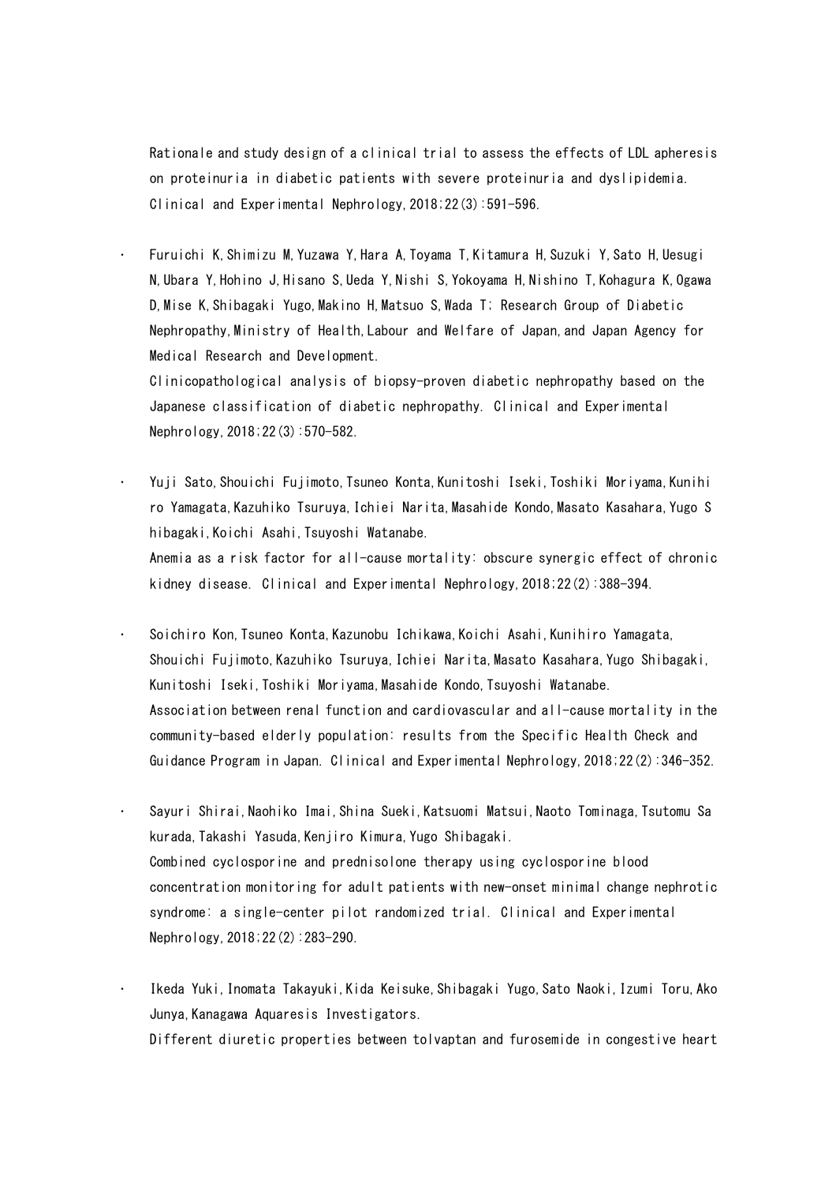Rationale and study design of a clinical trial to assess the effects of LDL apheresis on proteinuria in diabetic patients with severe proteinuria and dyslipidemia. Clinical and Experimental Nephrology,2018;22(3):591-596.

 Furuichi K,Shimizu M,Yuzawa Y,Hara A,Toyama T,Kitamura H,Suzuki Y,Sato H,Uesugi N,Ubara Y,Hohino J,Hisano S,Ueda Y,Nishi S,Yokoyama H,Nishino T,Kohagura K,Ogawa D,Mise K,Shibagaki Yugo,Makino H,Matsuo S,Wada T; Research Group of Diabetic Nephropathy,Ministry of Health,Labour and Welfare of Japan,and Japan Agency for Medical Research and Development.

Clinicopathological analysis of biopsy-proven diabetic nephropathy based on the Japanese classification of diabetic nephropathy. Clinical and Experimental Nephrology,2018;22(3):570-582.

 Yuji Sato,Shouichi Fujimoto,Tsuneo Konta,Kunitoshi Iseki,Toshiki Moriyama,Kunihi ro Yamagata,Kazuhiko Tsuruya,Ichiei Narita,Masahide Kondo,Masato Kasahara,Yugo S hibagaki,Koichi Asahi,Tsuyoshi Watanabe.

Anemia as a risk factor for all-cause mortality: obscure synergic effect of chronic kidney disease. Clinical and Experimental Nephrology,2018;22(2):388-394.

- Soichiro Kon,Tsuneo Konta,Kazunobu Ichikawa,Koichi Asahi,Kunihiro Yamagata, Shouichi Fujimoto,Kazuhiko Tsuruya,Ichiei Narita,Masato Kasahara,Yugo Shibagaki, Kunitoshi Iseki,Toshiki Moriyama,Masahide Kondo,Tsuyoshi Watanabe. Association between renal function and cardiovascular and all-cause mortality in the community-based elderly population: results from the Specific Health Check and Guidance Program in Japan. Clinical and Experimental Nephrology,2018;22(2):346-352.
- Sayuri Shirai,Naohiko Imai,Shina Sueki,Katsuomi Matsui,Naoto Tominaga,Tsutomu Sa kurada,Takashi Yasuda,Kenjiro Kimura,Yugo Shibagaki. Combined cyclosporine and prednisolone therapy using cyclosporine blood concentration monitoring for adult patients with new-onset minimal change nephrotic syndrome: a single-center pilot randomized trial. Clinical and Experimental Nephrology,2018;22(2):283-290.
- Ikeda Yuki,Inomata Takayuki,Kida Keisuke,Shibagaki Yugo,Sato Naoki,Izumi Toru,Ako Junya,Kanagawa Aquaresis Investigators. Different diuretic properties between tolvaptan and furosemide in congestive heart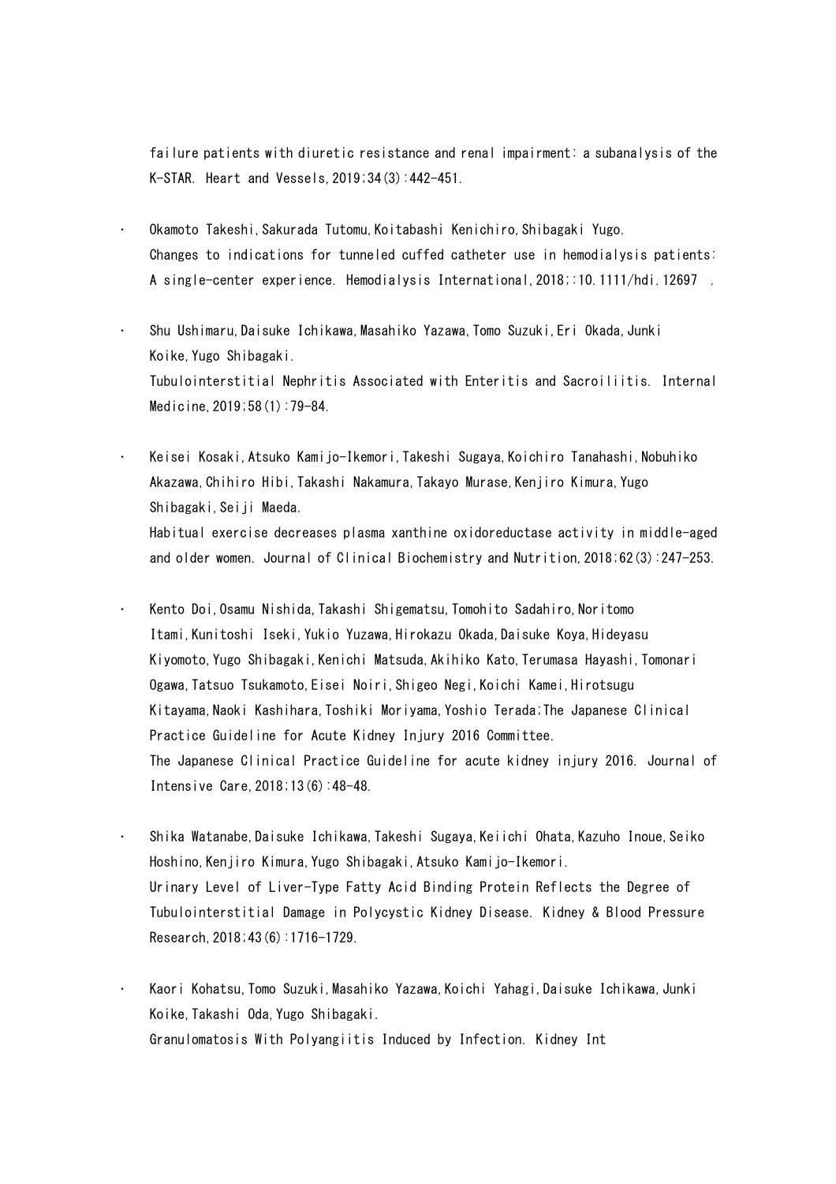failure patients with diuretic resistance and renal impairment: a subanalysis of the K-STAR. Heart and Vessels,2019;34(3):442-451.

- Okamoto Takeshi,Sakurada Tutomu,Koitabashi Kenichiro,Shibagaki Yugo. Changes to indications for tunneled cuffed catheter use in hemodialysis patients: A single-center experience. Hemodialysis International,2018;:10.1111/hdi.12697 .
- Shu Ushimaru, Daisuke Ichikawa, Masahiko Yazawa, Tomo Suzuki, Eri Okada, Junki Koike,Yugo Shibagaki. Tubulointerstitial Nephritis Associated with Enteritis and Sacroiliitis. Internal Medicine,2019;58(1):79-84.
- Keisei Kosaki,Atsuko Kamijo-Ikemori,Takeshi Sugaya,Koichiro Tanahashi,Nobuhiko Akazawa,Chihiro Hibi,Takashi Nakamura,Takayo Murase,Kenjiro Kimura,Yugo Shibagaki, Seiji Maeda. Habitual exercise decreases plasma xanthine oxidoreductase activity in middle-aged and older women. Journal of Clinical Biochemistry and Nutrition,2018;62(3):247-253.
- Kento Doi, Osamu Nishida, Takashi Shigematsu, Tomohito Sadahiro, Noritomo Itami,Kunitoshi Iseki,Yukio Yuzawa,Hirokazu Okada,Daisuke Koya,Hideyasu Kiyomoto,Yugo Shibagaki,Kenichi Matsuda,Akihiko Kato,Terumasa Hayashi,Tomonari Ogawa, Tatsuo Tsukamoto, Eisei Noiri, Shigeo Negi, Koichi Kamei, Hirotsugu Kitayama, Naoki Kashihara, Toshiki Moriyama, Yoshio Terada;The Japanese Clinical Practice Guideline for Acute Kidney Injury 2016 Committee. The Japanese Clinical Practice Guideline for acute kidney injury 2016. Journal of Intensive Care,2018;13(6):48-48.
- Shika Watanabe,Daisuke Ichikawa,Takeshi Sugaya,Keiichi Ohata,Kazuho Inoue,Seiko Hoshino,Kenjiro Kimura,Yugo Shibagaki,Atsuko Kamijo-Ikemori. Urinary Level of Liver-Type Fatty Acid Binding Protein Reflects the Degree of Tubulointerstitial Damage in Polycystic Kidney Disease. Kidney & Blood Pressure Research,2018;43(6):1716-1729.
- Kaori Kohatsu,Tomo Suzuki,Masahiko Yazawa,Koichi Yahagi,Daisuke Ichikawa,Junki Koike,Takashi Oda,Yugo Shibagaki. Granulomatosis With Polyangiitis Induced by Infection. Kidney Int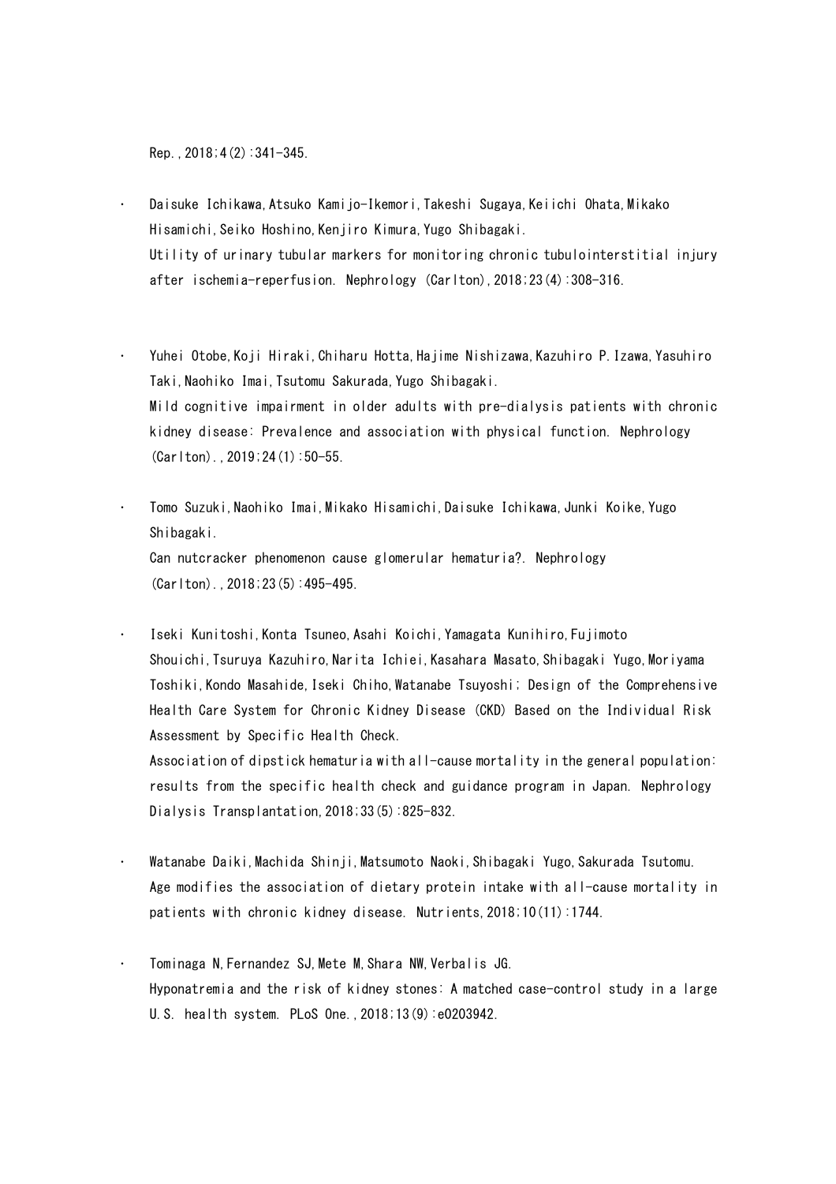Rep.,2018;4(2):341-345.

- Daisuke Ichikawa, Atsuko Kamijo-Ikemori, Takeshi Sugaya, Keiichi Ohata, Mikako Hisamichi,Seiko Hoshino,Kenjiro Kimura,Yugo Shibagaki. Utility of urinary tubular markers for monitoring chronic tubulointerstitial injury after ischemia-reperfusion. Nephrology (Carlton),2018;23(4):308-316.
- Yuhei Otobe,Koji Hiraki,Chiharu Hotta,Hajime Nishizawa,Kazuhiro P.Izawa,Yasuhiro Taki,Naohiko Imai,Tsutomu Sakurada,Yugo Shibagaki. Mild cognitive impairment in older adults with pre-dialysis patients with chronic kidney disease: Prevalence and association with physical function. Nephrology (Carlton).,2019;24(1):50-55.
- Tomo Suzuki,Naohiko Imai,Mikako Hisamichi,Daisuke Ichikawa,Junki Koike,Yugo Shibagaki. Can nutcracker phenomenon cause glomerular hematuria?. Nephrology (Carlton).,2018;23(5):495-495.
- Iseki Kunitoshi,Konta Tsuneo,Asahi Koichi,Yamagata Kunihiro,Fujimoto Shouichi, Tsuruya Kazuhiro, Narita Ichiei, Kasahara Masato, Shibagaki Yugo, Moriyama Toshiki,Kondo Masahide,Iseki Chiho,Watanabe Tsuyoshi; Design of the Comprehensive Health Care System for Chronic Kidney Disease (CKD) Based on the Individual Risk Assessment by Specific Health Check. Association of dipstick hematuria with all-cause mortality in the general population:
	- results from the specific health check and guidance program in Japan. Nephrology Dialysis Transplantation,2018;33(5):825-832.
- Watanabe Daiki,Machida Shinji,Matsumoto Naoki,Shibagaki Yugo,Sakurada Tsutomu. Age modifies the association of dietary protein intake with all-cause mortality in patients with chronic kidney disease. Nutrients,2018;10(11):1744.
- Tominaga N, Fernandez SJ, Mete M, Shara NW, Verbalis JG. Hyponatremia and the risk of kidney stones: A matched case-control study in a large U.S. health system. PLoS One.,2018;13(9):e0203942.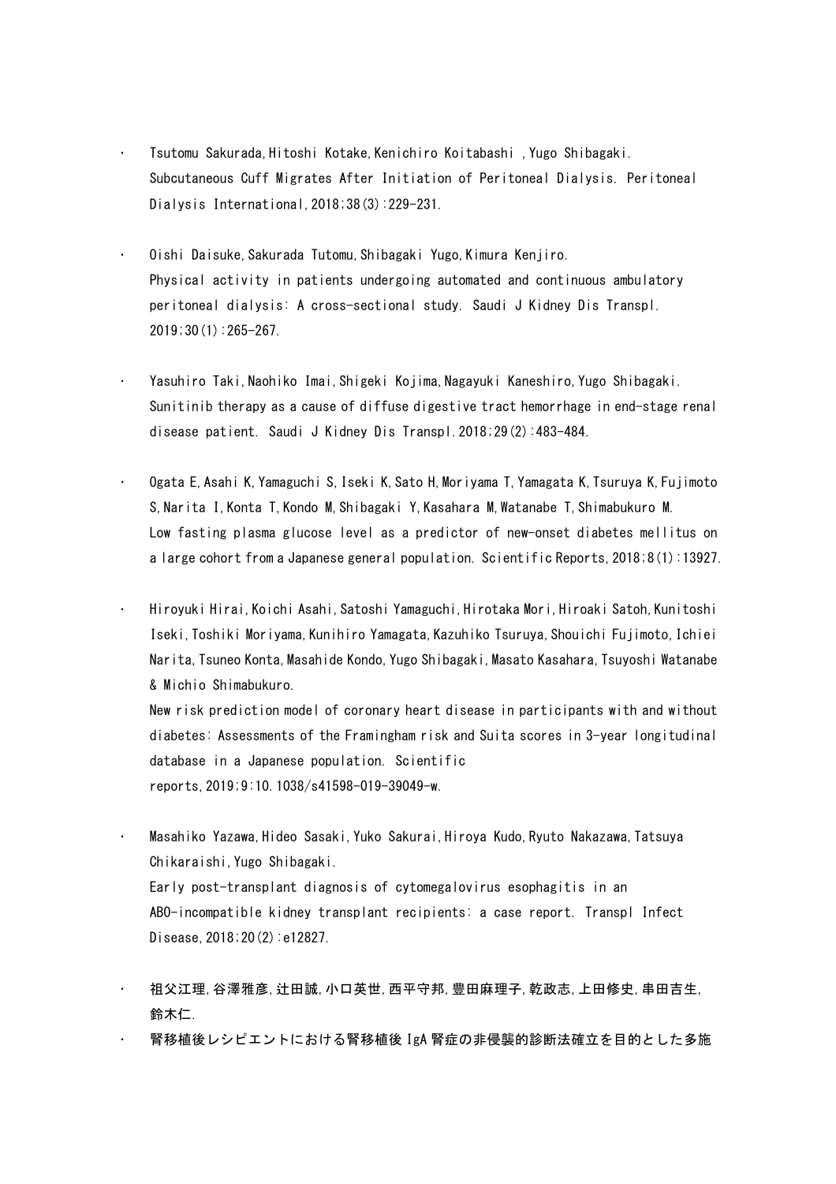- Tsutomu Sakurada,Hitoshi Kotake,Kenichiro Koitabashi ,Yugo Shibagaki. Subcutaneous Cuff Migrates After Initiation of Peritoneal Dialysis. Peritoneal Dialysis International,2018;38(3):229-231.
- Oishi Daisuke,Sakurada Tutomu,Shibagaki Yugo,Kimura Kenjiro. Physical activity in patients undergoing automated and continuous ambulatory peritoneal dialysis: A cross-sectional study. Saudi J Kidney Dis Transpl. 2019;30(1):265-267.
- Yasuhiro Taki,Naohiko Imai,Shigeki Kojima,Nagayuki Kaneshiro,Yugo Shibagaki. Sunitinib therapy as a cause of diffuse digestive tract hemorrhage in end-stage renal disease patient. Saudi J Kidney Dis Transpl.2018;29(2):483-484.
- Ogata E,Asahi K,Yamaguchi S,Iseki K,Sato H,Moriyama T,Yamagata K,Tsuruya K,Fujimoto S,Narita I,Konta T,Kondo M,Shibagaki Y,Kasahara M,Watanabe T,Shimabukuro M. Low fasting plasma glucose level as a predictor of new-onset diabetes mellitus on a large cohort from a Japanese general population. Scientific Reports,2018;8(1):13927.
- Hiroyuki Hirai,Koichi Asahi,Satoshi Yamaguchi,Hirotaka Mori,Hiroaki Satoh,Kunitoshi Iseki,Toshiki Moriyama,Kunihiro Yamagata,Kazuhiko Tsuruya,Shouichi Fujimoto,Ichiei Narita, Tsuneo Konta, Masahide Kondo, Yugo Shibagaki, Masato Kasahara, Tsuyoshi Watanabe & Michio Shimabukuro.

New risk prediction model of coronary heart disease in participants with and without diabetes: Assessments of the Framingham risk and Suita scores in 3-year longitudinal database in a Japanese population. Scientific reports,2019;9:10.1038/s41598-019-39049-w.

- Masahiko Yazawa,Hideo Sasaki,Yuko Sakurai,Hiroya Kudo,Ryuto Nakazawa,Tatsuya Chikaraishi,Yugo Shibagaki. Early post-transplant diagnosis of cytomegalovirus esophagitis in an ABO-incompatible kidney transplant recipients: a case report. Transpl Infect Disease,2018;20(2):e12827.
- 祖父江理,谷澤雅彦,辻田誠,小口英世,西平守邦,豊田麻理子,乾政志,上田修史,串田吉生, 鈴木仁.
- 腎移植後レシピエントにおける腎移植後 IgA 腎症の非侵襲的診断法確立を目的とした多施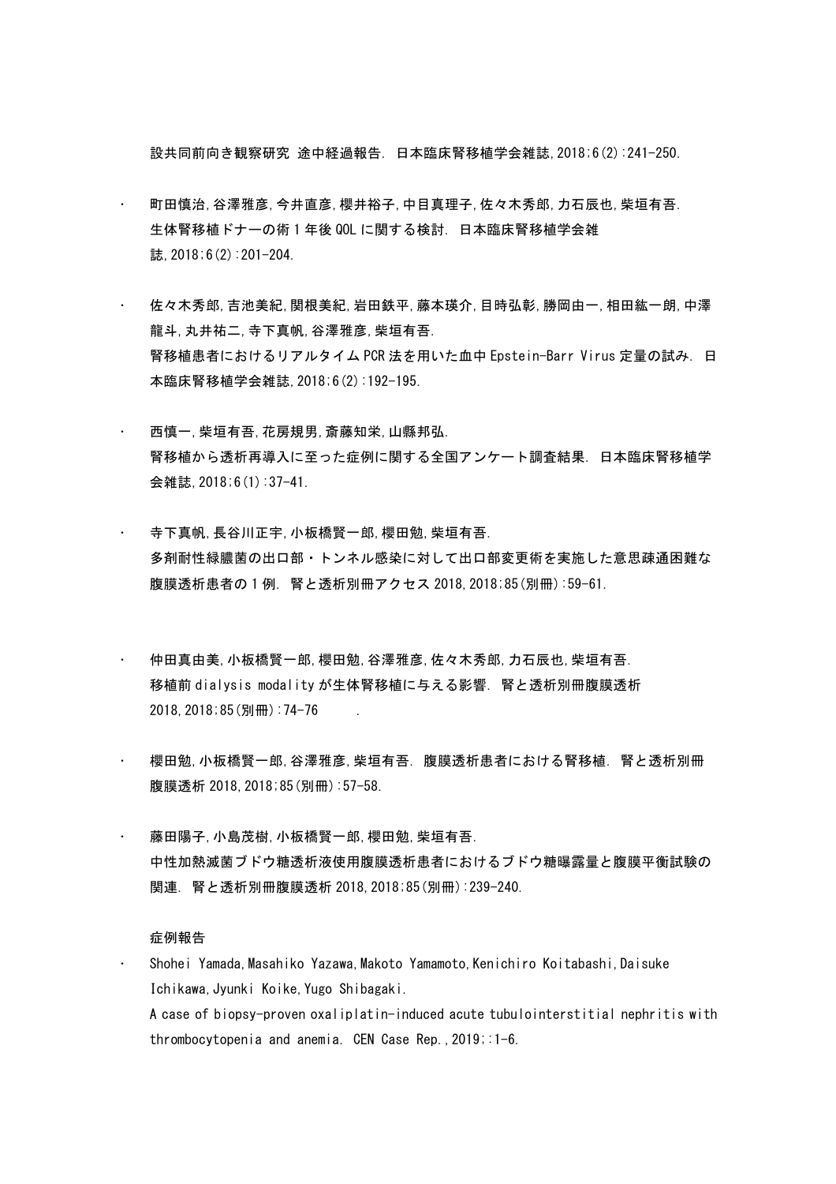設共同前向き観察研究 途中経過報告. 日本臨床腎移植学会雑誌,2018;6(2):241-250.

- 町田慎治,谷澤雅彦,今井直彦,櫻井裕子,中目真理子,佐々木秀郎,力石辰也,柴垣有吾. 生体腎移植ドナーの術 1 年後 QOL に関する検討. 日本臨床腎移植学会雑 誌, 2018;6(2):201-204.
- 佐々木秀郎,吉池美紀,関根美紀,岩田鉄平,藤本瑛介,目時弘彰,勝岡由一,相田紘一朗,中澤 龍斗,丸井祐二,寺下真帆,谷澤雅彦,柴垣有吾. 腎移植患者におけるリアルタイム PCR 法を用いた血中 Epstein-Barr Virus 定量の試み. 日 本臨床腎移植学会雑誌,2018;6(2):192-195.
- 西慎一,柴垣有吾,花房規男,斎藤知栄,山縣邦弘. 腎移植から透析再導入に至った症例に関する全国アンケート調査結果. 日本臨床腎移植学 会雑誌,2018;6(1):37-41.
- 寺下真帆,長谷川正宇,小板橋賢一郎,櫻田勉,柴垣有吾. 多剤耐性緑膿菌の出口部・トンネル感染に対して出口部変更術を実施した意思疎通困難な 腹膜透析患者の 1 例. 腎と透析別冊アクセス 2018,2018;85(別冊):59-61.
- 仲田真由美,小板橋賢一郎,櫻田勉,谷澤雅彦,佐々木秀郎,力石辰也,柴垣有吾. 移植前 dialysis modality が生体腎移植に与える影響. 腎と透析別冊腹膜透析 2018,2018;85(別冊):74-76 .
- 櫻田勉,小板橋賢一郎,谷澤雅彦,柴垣有吾. 腹膜透析患者における腎移植. 腎と透析別冊 腹膜透析 2018, 2018;85(別冊):57-58.
- 藤田陽子,小島茂樹,小板橋賢一郎,櫻田勉,柴垣有吾. 中性加熱滅菌ブドウ糖透析液使用腹膜透析患者におけるブドウ糖曝露量と腹膜平衡試験の 関連. 腎と透析別冊腹膜透析 2018,2018;85(別冊):239-240.

## 症例報告

 Shohei Yamada,Masahiko Yazawa,Makoto Yamamoto,Kenichiro Koitabashi,Daisuke Ichikawa,Jyunki Koike,Yugo Shibagaki. A case of biopsy-proven oxaliplatin-induced acute tubulointerstitial nephritis with thrombocytopenia and anemia. CEN Case Rep.,2019;:1-6.